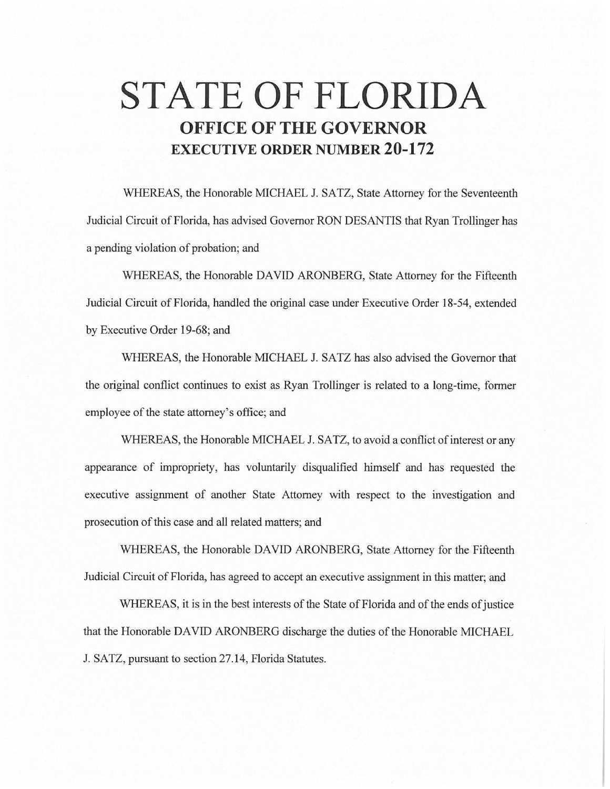# **STATE OF FLORIDA OFFICE OF THE GOVERNOR EXECUTIVE ORDER NUMBER 20-172**

WHEREAS, the Honorable MICHAEL J. SATZ, State Attorney for the Seventeenth Judicial Circuit of Florida, has advised Governor RON DESANTIS that Ryan Trollinger has a pending violation of probation; and

WHEREAS, the Honorable DAVID ARONBERG, State Attorney for the Fifteenth Judicial Circuit of Florida, handled the original case under Executive Order 18-54, extended by Executive Order 19-68; and

WHEREAS, the Honorable MICHAEL J. SATZ has also advised the Governor that the original conflict continues to exist as Ryan Trollinger is related to a long-time, former employee of the state attorney's office; and

WHEREAS, the Honorable MICHAEL J. SATZ, to avoid a conflict of interest or any appearance of impropriety, has voluntarily disqualified himself and has requested the executive assignment of another State Attorney with respect to the investigation and prosecution of this case and all related matters; and

WHEREAS, the Honorable DAVID ARONBERG, State Attorney for the Fifteenth Judicial Circuit of Florida, has agreed to accept an executive assignment in this matter; and

WHEREAS, it is in the best interests of the State of Florida and of the ends of justice that the Honorable DAVID ARONBERG discharge the duties of the Honorable MICHAEL J. SATZ, pursuant to section 27.14, Florida Statutes.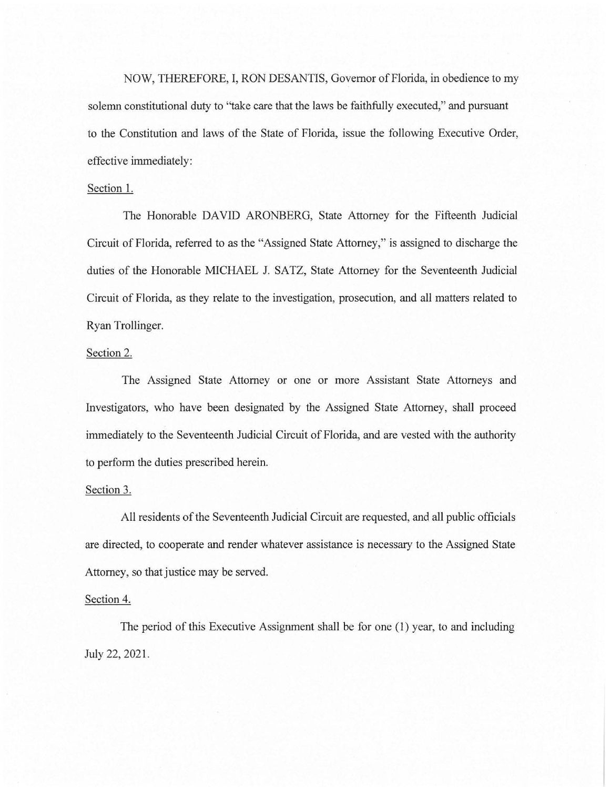NOW, THEREFORE, I, RON DESANTIS, Governor of Florida, in obedience to my solemn constitutional duty to "take care that the laws be faithfully executed," and pursuant to the Constitution and laws of the State of Florida, issue the following Executive Order, effective immediately:

## Section I.

The Honorable DAVID ARONBERG, State Attorney for the Fifteenth Judicial Circuit of Florida, referred to as the "Assigned State Attorney," is assigned to discharge the duties of the Honorable MICHAEL J. SATZ, State Attorney for the Seventeenth Judicial Circuit of Florida, as they relate to the investigation, prosecution, and all matters related to Ryan Trollinger.

# Section 2.

The Assigned State Attorney or one or more Assistant State Attorneys and Investigators, who have been designated by the Assigned State Attorney, shall proceed immediately to the Seventeenth Judicial Circuit of Florida, and are vested with the authority to perform the duties prescribed herein.

#### Section 3.

All residents of the Seventeenth Judicial Circuit are requested, and all public officials are directed, to cooperate and render whatever assistance is necessary to the Assigned State Attorney, so that justice may be served.

## Section 4.

The period of this Executive Assignment shall be for one (I) year, to and including July 22, 2021.